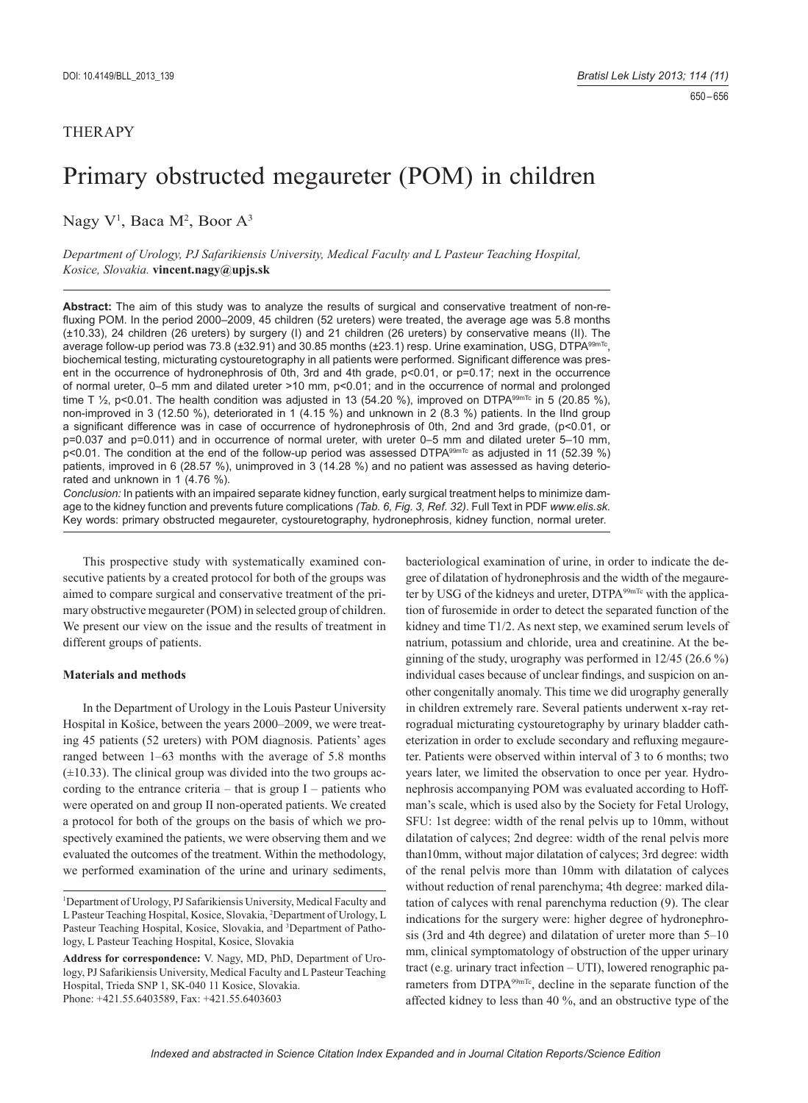## THERAPY

# Primary obstructed megaureter (POM) in children

Nagy V<sup>1</sup>, Baca M<sup>2</sup>, Boor A<sup>3</sup>

*Department of Urology, PJ Safarikiensis University, Medical Faculty and L Pasteur Teaching Hospital, Kosice, Slovakia.* **vincent.nagy@upjs.sk**

**Abstract:** The aim of this study was to analyze the results of surgical and conservative treatment of non-refluxing POM. In the period 2000–2009, 45 children (52 ureters) were treated, the average age was 5.8 months (±10.33), 24 children (26 ureters) by surgery (I) and 21 children (26 ureters) by conservative means (II). The average follow-up period was 73.8 (±32.91) and 30.85 months (±23.1) resp. Urine examination, USG, DTPA99mTc, biochemical testing, micturating cystouretography in all patients were performed. Significant difference was present in the occurrence of hydronephrosis of 0th, 3rd and 4th grade, p<0.01, or p=0.17; next in the occurrence of normal ureter, 0–5 mm and dilated ureter >10 mm, p<0.01; and in the occurrence of normal and prolonged time T  $\frac{1}{2}$ , p<0.01. The health condition was adjusted in 13 (54.20 %), improved on DTPA<sup>99mTc</sup> in 5 (20.85 %), non-improved in 3 (12.50 %), deteriorated in 1 (4.15 %) and unknown in 2 (8.3 %) patients. In the IInd group a significant difference was in case of occurrence of hydronephrosis of 0th, 2nd and 3rd grade, (p<0.01, or p=0.037 and p=0.011) and in occurrence of normal ureter, with ureter 0–5 mm and dilated ureter 5–10 mm, p<0.01. The condition at the end of the follow-up period was assessed DTPA<sup>99mTc</sup> as adjusted in 11 (52.39 %) patients, improved in 6 (28.57 %), unimproved in 3 (14.28 %) and no patient was assessed as having deteriorated and unknown in 1 (4.76 %).

*Conclusion:* In patients with an impaired separate kidney function, early surgical treatment helps to minimize damage to the kidney function and prevents future complications *(Tab. 6, Fig. 3, Ref. 32)*. Full Text in PDF *www.elis.sk.* Key words: primary obstructed megaureter, cystouretography, hydronephrosis, kidney function, normal ureter.

This prospective study with systematically examined consecutive patients by a created protocol for both of the groups was aimed to compare surgical and conservative treatment of the primary obstructive megaureter (POM) in selected group of children. We present our view on the issue and the results of treatment in different groups of patients.

## **Materials and methods**

In the Department of Urology in the Louis Pasteur University Hospital in Košice, between the years 2000–2009, we were treating 45 patients (52 ureters) with POM diagnosis. Patients' ages ranged between 1–63 months with the average of 5.8 months  $(\pm 10.33)$ . The clinical group was divided into the two groups according to the entrance criteria – that is group  $I$  – patients who were operated on and group II non-operated patients. We created a protocol for both of the groups on the basis of which we prospectively examined the patients, we were observing them and we evaluated the outcomes of the treatment. Within the methodology, we performed examination of the urine and urinary sediments, bacteriological examination of urine, in order to indicate the degree of dilatation of hydronephrosis and the width of the megaureter by USG of the kidneys and ureter, DTPA<sup>99mTc</sup> with the application of furosemide in order to detect the separated function of the kidney and time T1/2. As next step, we examined serum levels of natrium, potassium and chloride, urea and creatinine. At the beginning of the study, urography was performed in 12/45 (26.6 %) individual cases because of unclear findings, and suspicion on another congenitally anomaly. This time we did urography generally in children extremely rare. Several patients underwent x-ray retrogradual micturating cystouretography by urinary bladder catheterization in order to exclude secondary and refluxing megaureter. Patients were observed within interval of 3 to 6 months; two years later, we limited the observation to once per year. Hydronephrosis accompanying POM was evaluated according to Hoffman's scale, which is used also by the Society for Fetal Urology, SFU: 1st degree: width of the renal pelvis up to 10mm, without dilatation of calyces; 2nd degree: width of the renal pelvis more than10mm, without major dilatation of calyces; 3rd degree: width of the renal pelvis more than 10mm with dilatation of calyces without reduction of renal parenchyma; 4th degree: marked dilatation of calyces with renal parenchyma reduction (9). The clear indications for the surgery were: higher degree of hydronephrosis (3rd and 4th degree) and dilatation of ureter more than 5–10 mm, clinical symptomatology of obstruction of the upper urinary tract (e.g. urinary tract infection – UTI), lowered renographic parameters from DTPA<sup>99mTc</sup>, decline in the separate function of the affected kidney to less than 40 %, and an obstructive type of the

<sup>1</sup> Department of Urology, PJ Safarikiensis University, Medical Faculty and L Pasteur Teaching Hospital, Kosice, Slovakia, 2 Department of Urology, L Pasteur Teaching Hospital, Kosice, Slovakia, and <sup>3</sup>Department of Pathology, L Pasteur Teaching Hospital, Kosice, Slovakia

**Address for correspondence:** V. Nagy, MD, PhD, Department of Urology, PJ Safarikiensis University, Medical Faculty and L Pasteur Teaching Hospital, Trieda SNP 1, SK-040 11 Kosice, Slovakia. Phone: +421.55.6403589, Fax: +421.55.6403603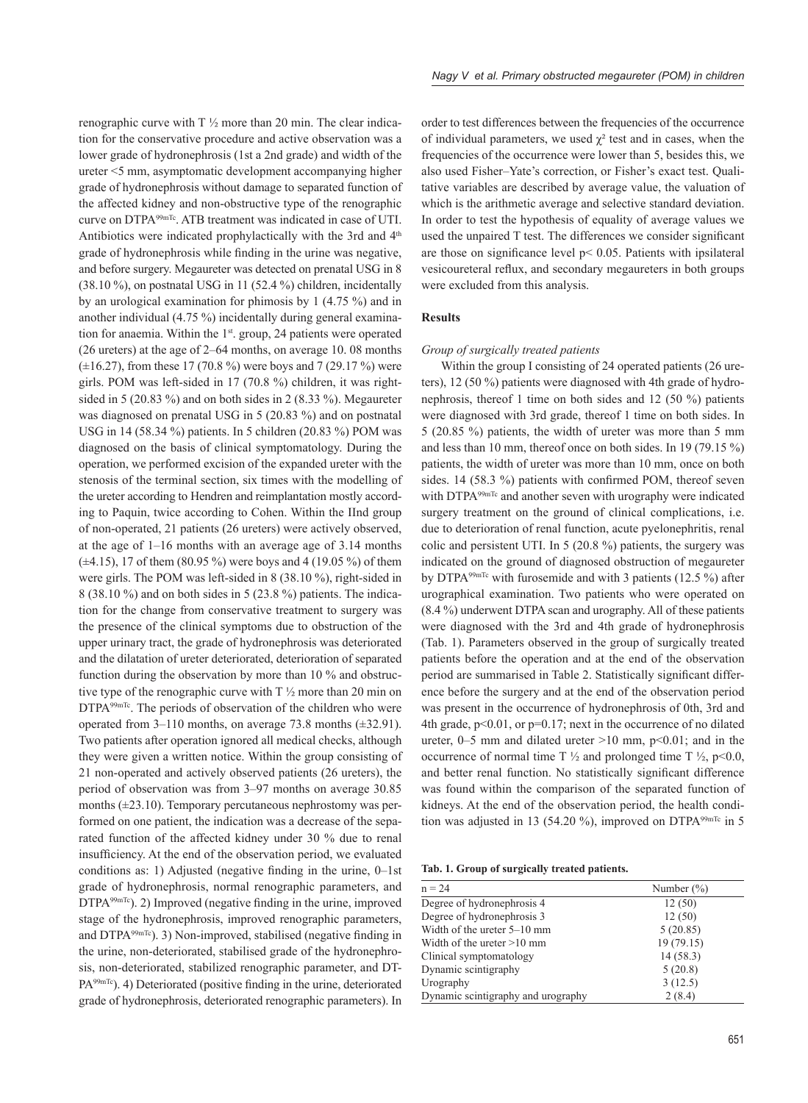renographic curve with T ½ more than 20 min. The clear indication for the conservative procedure and active observation was a lower grade of hydronephrosis (1st a 2nd grade) and width of the ureter <5 mm, asymptomatic development accompanying higher grade of hydronephrosis without damage to separated function of the affected kidney and non-obstructive type of the renographic curve on DTPA99mTc. ATB treatment was indicated in case of UTI. Antibiotics were indicated prophylactically with the 3rd and 4<sup>th</sup> grade of hydronephrosis while finding in the urine was negative, and before surgery. Megaureter was detected on prenatal USG in 8 (38.10 %), on postnatal USG in 11 (52.4 %) children, incidentally by an urological examination for phimosis by 1 (4.75 %) and in another individual (4.75 %) incidentally during general examination for anaemia. Within the 1<sup>st</sup>. group, 24 patients were operated (26 ureters) at the age of 2–64 months, on average 10. 08 months  $(\pm 16.27)$ , from these 17 (70.8 %) were boys and 7 (29.17 %) were girls. POM was left-sided in 17 (70.8 %) children, it was rightsided in 5 (20.83 %) and on both sides in 2 (8.33 %). Megaureter was diagnosed on prenatal USG in 5 (20.83 %) and on postnatal USG in 14 (58.34 %) patients. In 5 children (20.83 %) POM was diagnosed on the basis of clinical symptomatology. During the operation, we performed excision of the expanded ureter with the stenosis of the terminal section, six times with the modelling of the ureter according to Hendren and reimplantation mostly according to Paquin, twice according to Cohen. Within the IInd group of non-operated, 21 patients (26 ureters) were actively observed, at the age of 1–16 months with an average age of 3.14 months  $(\pm 4.15)$ , 17 of them (80.95 %) were boys and 4 (19.05 %) of them were girls. The POM was left-sided in 8 (38.10 %), right-sided in 8 (38.10 %) and on both sides in 5 (23.8 %) patients. The indication for the change from conservative treatment to surgery was the presence of the clinical symptoms due to obstruction of the upper urinary tract, the grade of hydronephrosis was deteriorated and the dilatation of ureter deteriorated, deterioration of separated function during the observation by more than 10 % and obstructive type of the renographic curve with  $T\frac{1}{2}$  more than 20 min on DTPA<sup>99mTc</sup>. The periods of observation of the children who were operated from  $3-110$  months, on average 73.8 months  $(\pm 32.91)$ . Two patients after operation ignored all medical checks, although they were given a written notice. Within the group consisting of 21 non-operated and actively observed patients (26 ureters), the period of observation was from 3–97 months on average 30.85 months  $(\pm 23.10)$ . Temporary percutaneous nephrostomy was performed on one patient, the indication was a decrease of the separated function of the affected kidney under 30 % due to renal insufficiency. At the end of the observation period, we evaluated conditions as: 1) Adjusted (negative finding in the urine,  $0$ –1st grade of hydronephrosis, normal renographic parameters, and  $DTPA<sup>99mTc</sup>$ ). 2) Improved (negative finding in the urine, improved stage of the hydronephrosis, improved renographic parameters, and DTPA<sup>99mTc</sup>). 3) Non-improved, stabilised (negative finding in the urine, non-deteriorated, stabilised grade of the hydronephrosis, non-deteriorated, stabilized renographic parameter, and DT- $PA<sup>99mTc</sup>$ ). 4) Deteriorated (positive finding in the urine, deteriorated grade of hydronephrosis, deteriorated renographic parameters). In

order to test differences between the frequencies of the occurrence of individual parameters, we used  $\chi^2$  test and in cases, when the frequencies of the occurrence were lower than 5, besides this, we also used Fisher–Yate's correction, or Fisher's exact test. Qualitative variables are described by average value, the valuation of which is the arithmetic average and selective standard deviation. In order to test the hypothesis of equality of average values we used the unpaired T test. The differences we consider significant are those on significance level  $p < 0.05$ . Patients with ipsilateral vesicoureteral reflux, and secondary megaureters in both groups were excluded from this analysis.

## **Results**

## *Group of surgically treated patients*

Within the group I consisting of 24 operated patients (26 ureters), 12 (50 %) patients were diagnosed with 4th grade of hydronephrosis, thereof 1 time on both sides and 12 (50 %) patients were diagnosed with 3rd grade, thereof 1 time on both sides. In 5 (20.85 %) patients, the width of ureter was more than 5 mm and less than 10 mm, thereof once on both sides. In 19 (79.15 %) patients, the width of ureter was more than 10 mm, once on both sides. 14 (58.3  $\%$ ) patients with confirmed POM, thereof seven with DTPA<sup>99mTc</sup> and another seven with urography were indicated surgery treatment on the ground of clinical complications, i.e. due to deterioration of renal function, acute pyelonephritis, renal colic and persistent UTI. In 5 (20.8 %) patients, the surgery was indicated on the ground of diagnosed obstruction of megaureter by DTPA $^{99mTc}$  with furosemide and with 3 patients (12.5 %) after urographical examination. Two patients who were operated on (8.4 %) underwent DTPA scan and urography. All of these patients were diagnosed with the 3rd and 4th grade of hydronephrosis (Tab. 1). Parameters observed in the group of surgically treated patients before the operation and at the end of the observation period are summarised in Table 2. Statistically significant difference before the surgery and at the end of the observation period was present in the occurrence of hydronephrosis of 0th, 3rd and 4th grade, p<0.01, or p=0.17; next in the occurrence of no dilated ureter, 0–5 mm and dilated ureter  $>10$  mm,  $p<0.01$ ; and in the occurrence of normal time T  $\frac{1}{2}$  and prolonged time T  $\frac{1}{2}$ , p<0.0, and better renal function. No statistically significant difference was found within the comparison of the separated function of kidneys. At the end of the observation period, the health condition was adjusted in 13 (54.20 %), improved on DTPA $99mTc$  in 5

**Tab. 1. Group of surgically treated patients.**

| $n = 24$                           | Number $(\% )$ |
|------------------------------------|----------------|
| Degree of hydronephrosis 4         | 12(50)         |
| Degree of hydronephrosis 3         | 12(50)         |
| Width of the ureter $5-10$ mm      | 5(20.85)       |
| Width of the ureter $>10$ mm       | 19(79.15)      |
| Clinical symptomatology            | 14(58.3)       |
| Dynamic scintigraphy               | 5(20.8)        |
| Urography                          | 3(12.5)        |
| Dynamic scintigraphy and urography | 2(8.4)         |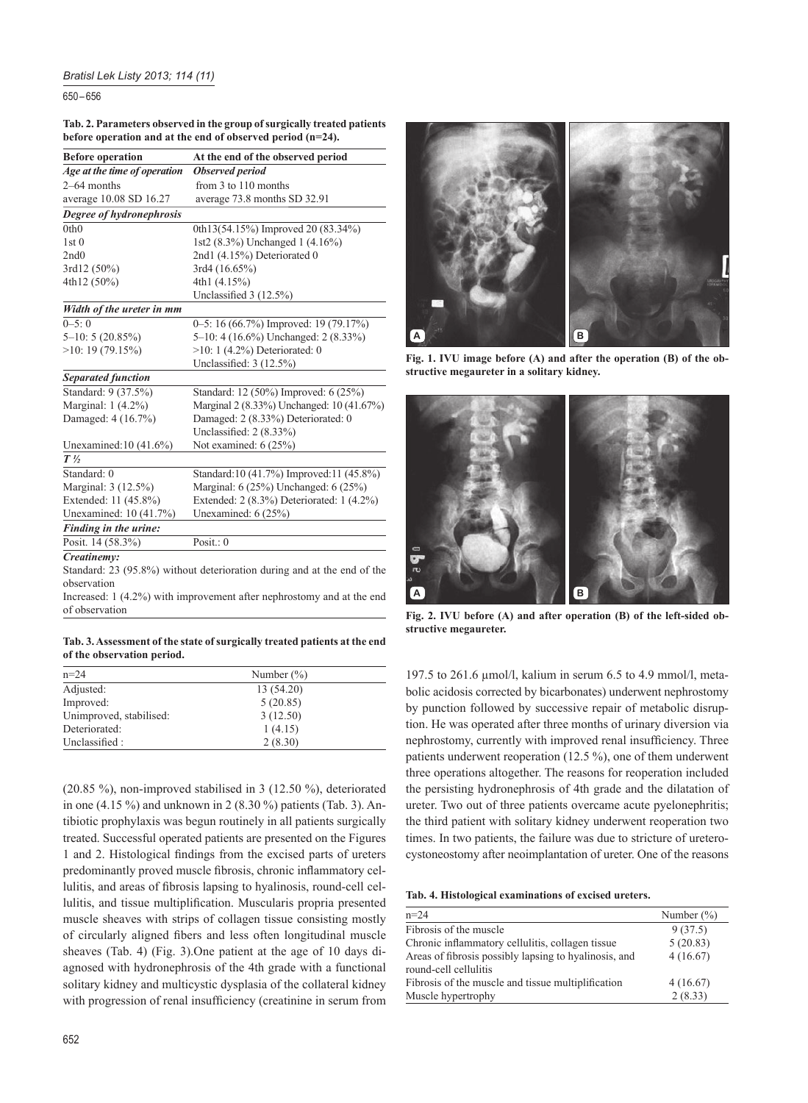#### 650 – 656

**Tab. 2. Parameters observed in the group of surgically treated patients before operation and at the end of observed period (n=24).**

| <b>Before operation</b>      | At the end of the observed period                   |  |  |
|------------------------------|-----------------------------------------------------|--|--|
| Age at the time of operation | <b>Observed period</b>                              |  |  |
| $2-64$ months                | from 3 to 110 months                                |  |  |
| average 10.08 SD 16.27       | average 73.8 months SD 32.91                        |  |  |
| Degree of hydronephrosis     |                                                     |  |  |
| 0 <sub>th</sub> 0            | 0th13(54.15%) Improved 20 (83.34%)                  |  |  |
| 1st <sub>0</sub>             | 1st2 (8.3%) Unchanged 1 (4.16%)                     |  |  |
| 2nd0                         | 2nd1 (4.15%) Deteriorated 0                         |  |  |
| 3rd12 (50%)                  | 3rd4 (16.65%)                                       |  |  |
| 4th12 (50%)                  | 4th1 (4.15%)                                        |  |  |
|                              | Unclassified $3(12.5\%)$                            |  |  |
| Width of the ureter in mm    |                                                     |  |  |
| $0 - 5:0$                    | $0-5$ : 16 (66.7%) Improved: 19 (79.17%)            |  |  |
| $5 - 10$ : 5 (20.85%)        | 5–10: 4 (16.6%) Unchanged: 2 (8.33%)                |  |  |
| $>10$ : 19 (79.15%)          | $>10$ : 1 (4.2%) Deteriorated: 0                    |  |  |
|                              | Unclassified: $3(12.5\%)$                           |  |  |
| <b>Separated function</b>    |                                                     |  |  |
| Standard: 9 (37.5%)          | Standard: 12 (50%) Improved: 6 (25%)                |  |  |
| Marginal: 1 (4.2%)           | Marginal 2 (8.33%) Unchanged: 10 (41.67%)           |  |  |
| Damaged: 4 (16.7%)           | Damaged: 2 (8.33%) Deteriorated: 0                  |  |  |
|                              | Unclassified: $2(8.33\%)$                           |  |  |
| Unexamined:10 (41.6%)        | Not examined: 6 (25%)                               |  |  |
| $T \frac{1}{2}$              |                                                     |  |  |
| Standard: 0                  | Standard: 10 (41.7%) Improved: 11 (45.8%)           |  |  |
| Marginal: 3 (12.5%)          | Marginal: 6 (25%) Unchanged: 6 (25%)                |  |  |
| Extended: 11 (45.8%)         | Extended: 2 (8.3%) Deteriorated: 1 (4.2%)           |  |  |
| Unexamined: 10 (41.7%)       | Unexamined: $6(25%)$                                |  |  |
| Finding in the urine:        |                                                     |  |  |
| Posit. 14 (58.3%)            | Posit.: 0                                           |  |  |
| Creatinemy:                  |                                                     |  |  |
|                              | $1.1.00 (0.600)$ at $1.1.1$ and $1.1.1$ and $1.0.1$ |  |  |

Standard: 23 (95.8%) without deterioration during and at the end of the observation

Increased: 1 (4.2%) with improvement after nephrostomy and at the end of observation

**Tab. 3. Assessment of the state of surgically treated patients at the end of the observation period.**

| $n = 24$                | Number $(\% )$ |  |
|-------------------------|----------------|--|
| Adjusted:               | 13 (54.20)     |  |
| Improved:               | 5(20.85)       |  |
| Unimproved, stabilised: | 3(12.50)       |  |
| Deteriorated:           | 1(4.15)        |  |
| Unclassified:           | 2(8.30)        |  |

(20.85 %), non-improved stabilised in 3 (12.50 %), deteriorated in one (4.15 %) and unknown in 2 (8.30 %) patients (Tab. 3). Antibiotic prophylaxis was begun routinely in all patients surgically treated. Successful operated patients are presented on the Figures 1 and 2. Histological findings from the excised parts of ureters predominantly proved muscle fibrosis, chronic inflammatory cellulitis, and areas of fibrosis lapsing to hyalinosis, round-cell cellulitis, and tissue multiplification. Muscularis propria presented muscle sheaves with strips of collagen tissue consisting mostly of circularly aligned fibers and less often longitudinal muscle sheaves (Tab. 4) (Fig. 3).One patient at the age of 10 days diagnosed with hydronephrosis of the 4th grade with a functional solitary kidney and multicystic dysplasia of the collateral kidney with progression of renal insufficiency (creatinine in serum from



**Fig. 1. IVU image before (A) and after the operation (B) of the obstructive megaureter in a solitary kidney.**



**Fig. 2. IVU before (A) and after operation (B) of the left-sided obstructive megaureter.**

197.5 to 261.6 μmol/l, kalium in serum 6.5 to 4.9 mmol/l, metabolic acidosis corrected by bicarbonates) underwent nephrostomy by punction followed by successive repair of metabolic disruption. He was operated after three months of urinary diversion via nephrostomy, currently with improved renal insufficiency. Three patients underwent reoperation (12.5 %), one of them underwent three operations altogether. The reasons for reoperation included the persisting hydronephrosis of 4th grade and the dilatation of ureter. Two out of three patients overcame acute pyelonephritis; the third patient with solitary kidney underwent reoperation two times. In two patients, the failure was due to stricture of ureterocystoneostomy after neoimplantation of ureter. One of the reasons

|  |  | Tab. 4. Histological examinations of excised ureters. |  |  |  |
|--|--|-------------------------------------------------------|--|--|--|
|--|--|-------------------------------------------------------|--|--|--|

| $n = 24$                                              | Number $(\%)$ |
|-------------------------------------------------------|---------------|
| Fibrosis of the muscle                                | 9(37.5)       |
| Chronic inflammatory cellulitis, collagen tissue      | 5(20.83)      |
| Areas of fibrosis possibly lapsing to hyalinosis, and | 4(16.67)      |
| round-cell cellulitis                                 |               |
| Fibrosis of the muscle and tissue multiplification    | 4(16.67)      |
| Muscle hypertrophy                                    | 2(8.33)       |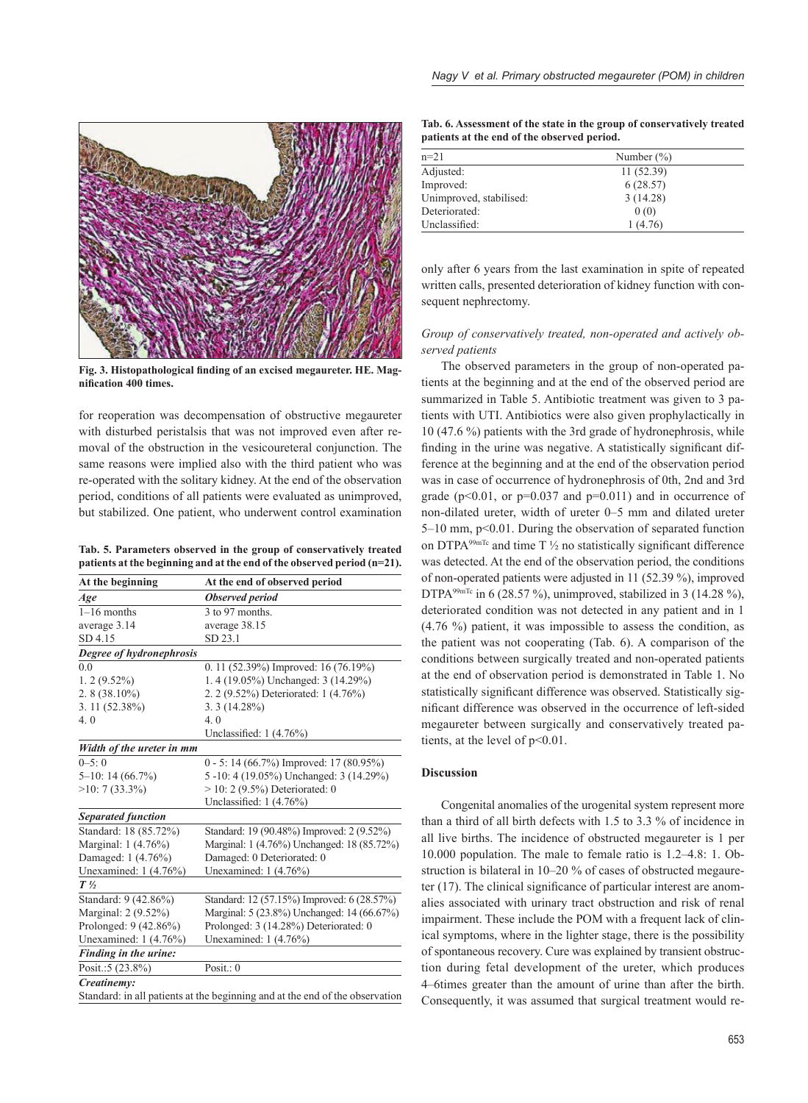



Fig. 3. Histopathological finding of an excised megaureter. HE. Mag**nifi cation 400 times.**

for reoperation was decompensation of obstructive megaureter with disturbed peristalsis that was not improved even after removal of the obstruction in the vesicoureteral conjunction. The same reasons were implied also with the third patient who was re-operated with the solitary kidney. At the end of the observation period, conditions of all patients were evaluated as unimproved, but stabilized. One patient, who underwent control examination

**Tab. 5. Parameters observed in the group of conservatively treated patients at the beginning and at the end of the observed period (n=21).**

| At the beginning          | At the end of observed period                                                |
|---------------------------|------------------------------------------------------------------------------|
| Age                       | <b>Observed period</b>                                                       |
| $1-16$ months             | 3 to 97 months.                                                              |
| average 3.14              | average 38.15                                                                |
| SD 4.15                   | SD 23.1                                                                      |
| Degree of hydronephrosis  |                                                                              |
| 0.0                       | 0. 11 (52.39%) Improved: 16 (76.19%)                                         |
| $1.2(9.52\%)$             | 1.4 (19.05%) Unchanged: 3 (14.29%)                                           |
| $2.8(38.10\%)$            | 2. 2 (9.52%) Deteriorated: 1 (4.76%)                                         |
| $3.11(52.38\%)$           | $3.3(14.28\%)$                                                               |
| 4.0                       | 4.0                                                                          |
|                           | Unclassified: $1(4.76%)$                                                     |
| Width of the ureter in mm |                                                                              |
| $0 - 5:0$                 | $0 - 5$ : 14 (66.7%) Improved: 17 (80.95%)                                   |
| $5-10$ : 14 (66.7%)       | 5 -10: 4 (19.05%) Unchanged: 3 (14.29%)                                      |
| $>10$ : 7 (33.3%)         | $> 10: 2 (9.5%)$ Deteriorated: 0                                             |
|                           | Unclassified: 1 (4.76%)                                                      |
| <b>Separated function</b> |                                                                              |
| Standard: 18 (85.72%)     | Standard: 19 (90.48%) Improved: 2 (9.52%)                                    |
| Marginal: 1 (4.76%)       | Marginal: 1 (4.76%) Unchanged: 18 (85.72%)                                   |
| Damaged: 1 (4.76%)        | Damaged: 0 Deteriorated: 0                                                   |
| Unexamined: 1 (4.76%)     | Unexamined: 1 (4.76%)                                                        |
| $T\frac{1}{2}$            |                                                                              |
| Standard: 9 (42.86%)      | Standard: 12 (57.15%) Improved: 6 (28.57%)                                   |
| Marginal: 2 (9.52%)       | Marginal: 5 (23.8%) Unchanged: 14 (66.67%)                                   |
| Prolonged: 9 (42.86%)     | Prolonged: 3 (14.28%) Deteriorated: 0                                        |
| Unexamined: 1 (4.76%)     | Unexamined: 1 (4.76%)                                                        |
| Finding in the urine:     |                                                                              |
| Posit.:5 (23.8%)          | Posit.: 0                                                                    |
| Creatinemy:               |                                                                              |
|                           | Standard: in all patients at the beginning and at the end of the observation |

| Tab. 6. Assessment of the state in the group of conservatively treated |  |
|------------------------------------------------------------------------|--|
| patients at the end of the observed period.                            |  |

| $n=21$                  | Number $(\% )$ |  |
|-------------------------|----------------|--|
| Adjusted:               | 11(52.39)      |  |
| Improved:               | 6(28.57)       |  |
| Unimproved, stabilised: | 3(14.28)       |  |
| Deteriorated:           | 0(0)           |  |
| Unclassified:           | 1(4.76)        |  |

only after 6 years from the last examination in spite of repeated written calls, presented deterioration of kidney function with consequent nephrectomy.

## *Group of conservatively treated, non-operated and actively observed patients*

The observed parameters in the group of non-operated patients at the beginning and at the end of the observed period are summarized in Table 5. Antibiotic treatment was given to 3 patients with UTI. Antibiotics were also given prophylactically in 10 (47.6 %) patients with the 3rd grade of hydronephrosis, while finding in the urine was negative. A statistically significant difference at the beginning and at the end of the observation period was in case of occurrence of hydronephrosis of 0th, 2nd and 3rd grade ( $p \le 0.01$ , or  $p=0.037$  and  $p=0.011$ ) and in occurrence of non-dilated ureter, width of ureter 0–5 mm and dilated ureter 5–10 mm, p<0.01. During the observation of separated function on DTPA<sup>99mTc</sup> and time T  $\frac{1}{2}$  no statistically significant difference was detected. At the end of the observation period, the conditions of non-operated patients were adjusted in 11 (52.39 %), improved DTPA<sup>99mTc</sup> in 6 (28.57 %), unimproved, stabilized in 3 (14.28 %), deteriorated condition was not detected in any patient and in 1 (4.76 %) patient, it was impossible to assess the condition, as the patient was not cooperating (Tab. 6). A comparison of the conditions between surgically treated and non-operated patients at the end of observation period is demonstrated in Table 1. No statistically significant difference was observed. Statistically significant difference was observed in the occurrence of left-sided megaureter between surgically and conservatively treated patients, at the level of p<0.01.

## **Discussion**

Congenital anomalies of the urogenital system represent more than a third of all birth defects with 1.5 to 3.3 % of incidence in all live births. The incidence of obstructed megaureter is 1 per 10.000 population. The male to female ratio is 1.2–4.8: 1. Obstruction is bilateral in 10–20 % of cases of obstructed megaureter  $(17)$ . The clinical significance of particular interest are anomalies associated with urinary tract obstruction and risk of renal impairment. These include the POM with a frequent lack of clinical symptoms, where in the lighter stage, there is the possibility of spontaneous recovery. Cure was explained by transient obstruction during fetal development of the ureter, which produces 4–6times greater than the amount of urine than after the birth. Consequently, it was assumed that surgical treatment would re-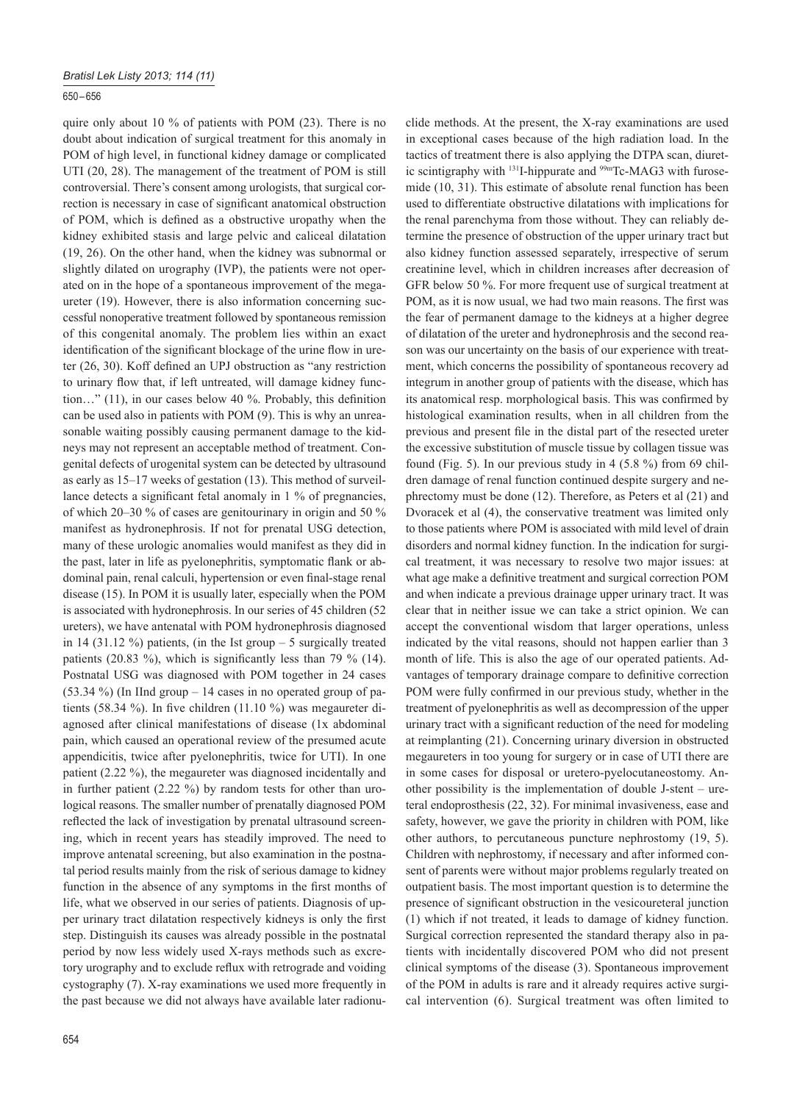#### 650 – 656

quire only about 10 % of patients with POM (23). There is no doubt about indication of surgical treatment for this anomaly in POM of high level, in functional kidney damage or complicated UTI (20, 28). The management of the treatment of POM is still controversial. There's consent among urologists, that surgical correction is necessary in case of significant anatomical obstruction of POM, which is defined as a obstructive uropathy when the kidney exhibited stasis and large pelvic and caliceal dilatation (19, 26). On the other hand, when the kidney was subnormal or slightly dilated on urography (IVP), the patients were not operated on in the hope of a spontaneous improvement of the megaureter (19). However, there is also information concerning successful nonoperative treatment followed by spontaneous remission of this congenital anomaly. The problem lies within an exact identification of the significant blockage of the urine flow in ureter  $(26, 30)$ . Koff defined an UPJ obstruction as "any restriction to urinary flow that, if left untreated, will damage kidney function..." (11), in our cases below 40 %. Probably, this definition can be used also in patients with POM (9). This is why an unreasonable waiting possibly causing permanent damage to the kidneys may not represent an acceptable method of treatment. Congenital defects of urogenital system can be detected by ultrasound as early as 15–17 weeks of gestation (13). This method of surveillance detects a significant fetal anomaly in  $1\%$  of pregnancies, of which 20–30 % of cases are genitourinary in origin and 50 % manifest as hydronephrosis. If not for prenatal USG detection, many of these urologic anomalies would manifest as they did in the past, later in life as pyelonephritis, symptomatic flank or abdominal pain, renal calculi, hypertension or even final-stage renal disease (15). In POM it is usually later, especially when the POM is associated with hydronephrosis. In our series of 45 children (52 ureters), we have antenatal with POM hydronephrosis diagnosed in 14 (31.12 %) patients, (in the Ist group  $-5$  surgically treated patients (20.83 %), which is significantly less than 79 % (14). Postnatal USG was diagnosed with POM together in 24 cases (53.34 %) (In IInd group – 14 cases in no operated group of patients (58.34 %). In five children (11.10 %) was megaureter diagnosed after clinical manifestations of disease (1x abdominal pain, which caused an operational review of the presumed acute appendicitis, twice after pyelonephritis, twice for UTI). In one patient (2.22 %), the megaureter was diagnosed incidentally and in further patient (2.22 %) by random tests for other than urological reasons. The smaller number of prenatally diagnosed POM reflected the lack of investigation by prenatal ultrasound screening, which in recent years has steadily improved. The need to improve antenatal screening, but also examination in the postnatal period results mainly from the risk of serious damage to kidney function in the absence of any symptoms in the first months of life, what we observed in our series of patients. Diagnosis of upper urinary tract dilatation respectively kidneys is only the first step. Distinguish its causes was already possible in the postnatal period by now less widely used X-rays methods such as excretory urography and to exclude reflux with retrograde and voiding cystography (7). X-ray examinations we used more frequently in the past because we did not always have available later radionu-

mide (10, 31). This estimate of absolute renal function has been used to differentiate obstructive dilatations with implications for the renal parenchyma from those without. They can reliably determine the presence of obstruction of the upper urinary tract but also kidney function assessed separately, irrespective of serum creatinine level, which in children increases after decreasion of GFR below 50 %. For more frequent use of surgical treatment at POM, as it is now usual, we had two main reasons. The first was the fear of permanent damage to the kidneys at a higher degree of dilatation of the ureter and hydronephrosis and the second reason was our uncertainty on the basis of our experience with treatment, which concerns the possibility of spontaneous recovery ad integrum in another group of patients with the disease, which has its anatomical resp. morphological basis. This was confirmed by histological examination results, when in all children from the previous and present file in the distal part of the resected ureter the excessive substitution of muscle tissue by collagen tissue was found (Fig. 5). In our previous study in 4 (5.8 %) from 69 children damage of renal function continued despite surgery and nephrectomy must be done (12). Therefore, as Peters et al (21) and Dvoracek et al (4), the conservative treatment was limited only to those patients where POM is associated with mild level of drain disorders and normal kidney function. In the indication for surgical treatment, it was necessary to resolve two major issues: at what age make a definitive treatment and surgical correction POM and when indicate a previous drainage upper urinary tract. It was clear that in neither issue we can take a strict opinion. We can accept the conventional wisdom that larger operations, unless indicated by the vital reasons, should not happen earlier than 3 month of life. This is also the age of our operated patients. Advantages of temporary drainage compare to definitive correction POM were fully confirmed in our previous study, whether in the treatment of pyelonephritis as well as decompression of the upper urinary tract with a significant reduction of the need for modeling at reimplanting (21). Concerning urinary diversion in obstructed megaureters in too young for surgery or in case of UTI there are in some cases for disposal or uretero-pyelocutaneostomy. Another possibility is the implementation of double J-stent – ureteral endoprosthesis (22, 32). For minimal invasiveness, ease and safety, however, we gave the priority in children with POM, like other authors, to percutaneous puncture nephrostomy (19, 5). Children with nephrostomy, if necessary and after informed consent of parents were without major problems regularly treated on outpatient basis. The most important question is to determine the presence of significant obstruction in the vesicoureteral junction (1) which if not treated, it leads to damage of kidney function. Surgical correction represented the standard therapy also in patients with incidentally discovered POM who did not present clinical symptoms of the disease (3). Spontaneous improvement of the POM in adults is rare and it already requires active surgical intervention (6). Surgical treatment was often limited to

clide methods. At the present, the X-ray examinations are used in exceptional cases because of the high radiation load. In the tactics of treatment there is also applying the DTPA scan, diuretic scintigraphy with <sup>131</sup>I-hippurate and <sup>99m</sup>Tc-MAG3 with furose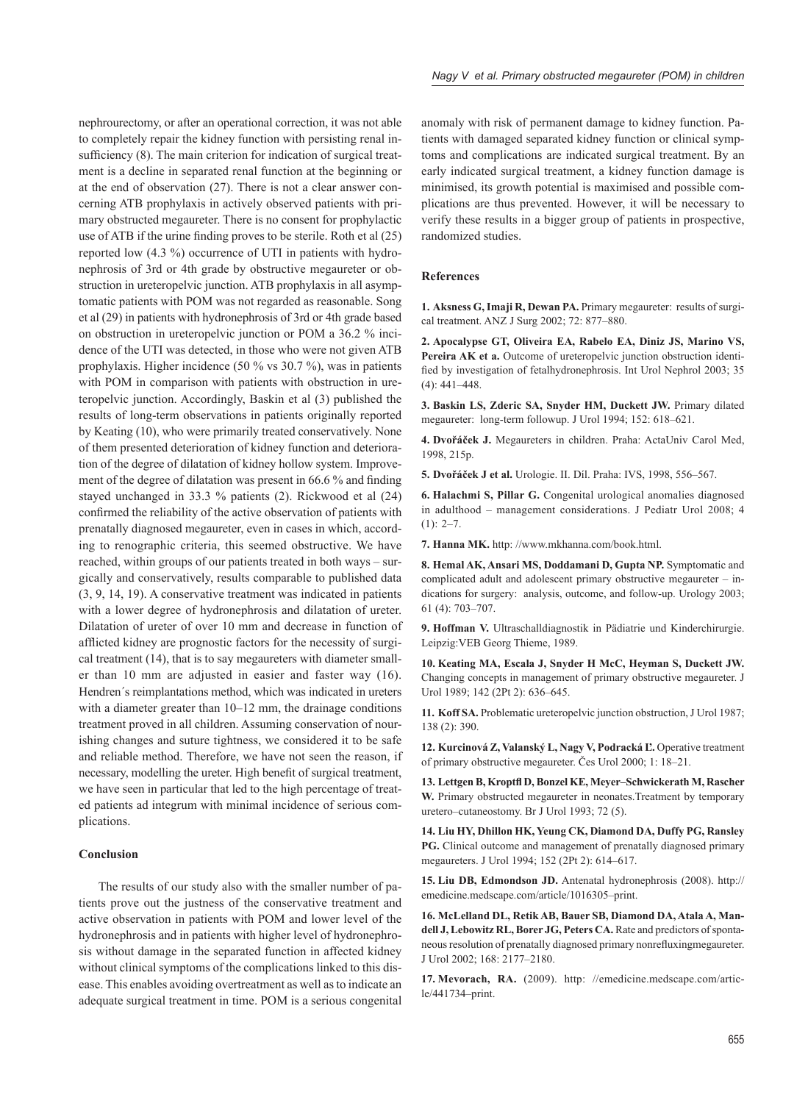nephrourectomy, or after an operational correction, it was not able to completely repair the kidney function with persisting renal insufficiency (8). The main criterion for indication of surgical treatment is a decline in separated renal function at the beginning or at the end of observation (27). There is not a clear answer concerning ATB prophylaxis in actively observed patients with primary obstructed megaureter. There is no consent for prophylactic use of ATB if the urine finding proves to be sterile. Roth et al  $(25)$ reported low (4.3 %) occurrence of UTI in patients with hydronephrosis of 3rd or 4th grade by obstructive megaureter or obstruction in ureteropelvic junction. ATB prophylaxis in all asymptomatic patients with POM was not regarded as reasonable. Song et al (29) in patients with hydronephrosis of 3rd or 4th grade based on obstruction in ureteropelvic junction or POM a 36.2 % incidence of the UTI was detected, in those who were not given ATB prophylaxis. Higher incidence (50 % vs 30.7 %), was in patients with POM in comparison with patients with obstruction in ureteropelvic junction. Accordingly, Baskin et al (3) published the results of long-term observations in patients originally reported by Keating (10), who were primarily treated conservatively. None of them presented deterioration of kidney function and deterioration of the degree of dilatation of kidney hollow system. Improvement of the degree of dilatation was present in  $66.6\%$  and finding stayed unchanged in 33.3 % patients (2). Rickwood et al (24) confirmed the reliability of the active observation of patients with prenatally diagnosed megaureter, even in cases in which, according to renographic criteria, this seemed obstructive. We have reached, within groups of our patients treated in both ways – surgically and conservatively, results comparable to published data (3, 9, 14, 19). A conservative treatment was indicated in patients with a lower degree of hydronephrosis and dilatation of ureter. Dilatation of ureter of over 10 mm and decrease in function of afflicted kidney are prognostic factors for the necessity of surgical treatment (14), that is to say megaureters with diameter smaller than 10 mm are adjusted in easier and faster way (16). Hendren´s reimplantations method, which was indicated in ureters with a diameter greater than  $10-12$  mm, the drainage conditions treatment proved in all children. Assuming conservation of nourishing changes and suture tightness, we considered it to be safe and reliable method. Therefore, we have not seen the reason, if necessary, modelling the ureter. High benefit of surgical treatment, we have seen in particular that led to the high percentage of treated patients ad integrum with minimal incidence of serious complications.

## **Conclusion**

The results of our study also with the smaller number of patients prove out the justness of the conservative treatment and active observation in patients with POM and lower level of the hydronephrosis and in patients with higher level of hydronephrosis without damage in the separated function in affected kidney without clinical symptoms of the complications linked to this disease. This enables avoiding overtreatment as well as to indicate an adequate surgical treatment in time. POM is a serious congenital

anomaly with risk of permanent damage to kidney function. Patients with damaged separated kidney function or clinical symptoms and complications are indicated surgical treatment. By an early indicated surgical treatment, a kidney function damage is minimised, its growth potential is maximised and possible complications are thus prevented. However, it will be necessary to verify these results in a bigger group of patients in prospective, randomized studies.

## **References**

**1. Aksness G, Imaji R, Dewan PA.** Primary megaureter: results of surgical treatment. ANZ J Surg 2002; 72: 877–880.

**2. Apocalypse GT, Oliveira EA, Rabelo EA, Diniz JS, Marino VS, Pereira AK et a.** Outcome of ureteropelvic junction obstruction identified by investigation of fetalhydronephrosis. Int Urol Nephrol 2003; 35 (4): 441–448.

**3. Baskin LS, Zderic SA, Snyder HM, Duckett JW.** Primary dilated megaureter: long-term followup. J Urol 1994; 152: 618–621.

**4. Dvořáček J.** Megaureters in children. Praha: ActaUniv Carol Med, 1998, 215p.

**5. Dvořáček J et al.** Urologie. II. Díl. Praha: IVS, 1998, 556–567.

**6. Halachmi S, Pillar G.** Congenital urological anomalies diagnosed in adulthood – management considerations. J Pediatr Urol 2008; 4  $(1): 2-7.$ 

**7. Hanna MK.** http: //www.mkhanna.com/book.html.

**8. Hemal AK, Ansari MS, Doddamani D, Gupta NP.** Symptomatic and complicated adult and adolescent primary obstructive megaureter – indications for surgery: analysis, outcome, and follow-up. Urology 2003; 61 (4): 703–707.

**9. Hoffman V.** Ultraschalldiagnostik in Pädiatrie und Kinderchirurgie. Leipzig:VEB Georg Thieme, 1989.

**10. Keating MA, Escala J, Snyder H McC, Heyman S, Duckett JW.** Changing concepts in management of primary obstructive megaureter. J Urol 1989; 142 (2Pt 2): 636–645.

**11. Koff SA.** Problematic ureteropelvic junction obstruction, J Urol 1987; 138 (2): 390.

**12. Kurcinová Z, Valanský L, Nagy V, Podracká Ľ.** Operative treatment of primary obstructive megaureter. Čes Urol 2000; 1: 18–21.

**13. Lettgen B, Kroptfl D, Bonzel KE, Meyer–Schwickerath M, Rascher W.** Primary obstructed megaureter in neonates.Treatment by temporary uretero–cutaneostomy. Br J Urol 1993; 72 (5).

**14. Liu HY, Dhillon HK, Yeung CK, Diamond DA, Duffy PG, Ransley**  PG. Clinical outcome and management of prenatally diagnosed primary megaureters. J Urol 1994; 152 (2Pt 2): 614–617.

**15. Liu DB, Edmondson JD.** Antenatal hydronephrosis (2008). http:// emedicine.medscape.com/article/1016305–print.

**16. McLelland DL, Retik AB, Bauer SB, Diamond DA, Atala A, Mandell J, Lebowitz RL, Borer JG, Peters CA.** Rate and predictors of spontaneous resolution of prenatally diagnosed primary nonrefluxingmegaureter. J Urol 2002; 168: 2177–2180.

**17. Mevorach, RA.** (2009). http: //emedicine.medscape.com/article/441734–print.